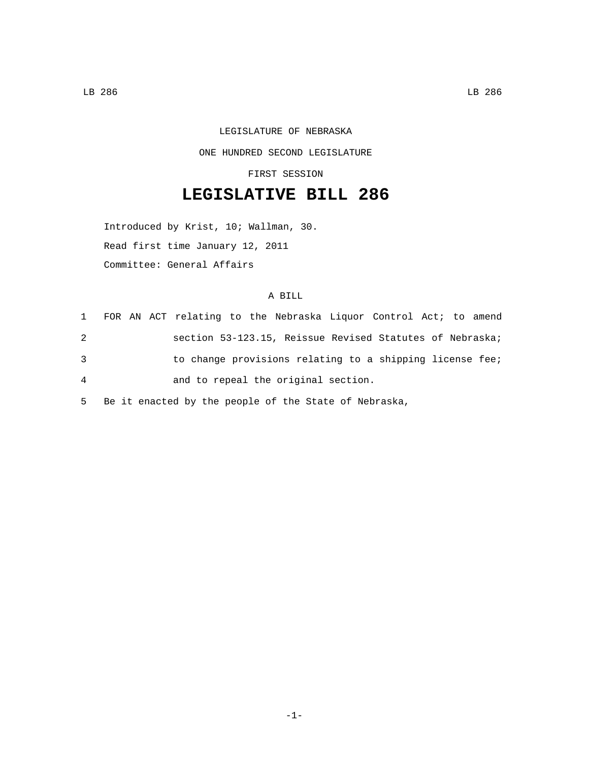## LEGISLATURE OF NEBRASKA ONE HUNDRED SECOND LEGISLATURE

FIRST SESSION

## **LEGISLATIVE BILL 286**

Introduced by Krist, 10; Wallman, 30. Read first time January 12, 2011 Committee: General Affairs

## A BILL

|                |  |  |  | 1 FOR AN ACT relating to the Nebraska Liquor Control Act; to amend |  |  |  |
|----------------|--|--|--|--------------------------------------------------------------------|--|--|--|
| 2              |  |  |  | section 53-123.15, Reissue Revised Statutes of Nebraska;           |  |  |  |
| 3              |  |  |  | to change provisions relating to a shipping license fee;           |  |  |  |
| $\overline{4}$ |  |  |  | and to repeal the original section.                                |  |  |  |

5 Be it enacted by the people of the State of Nebraska,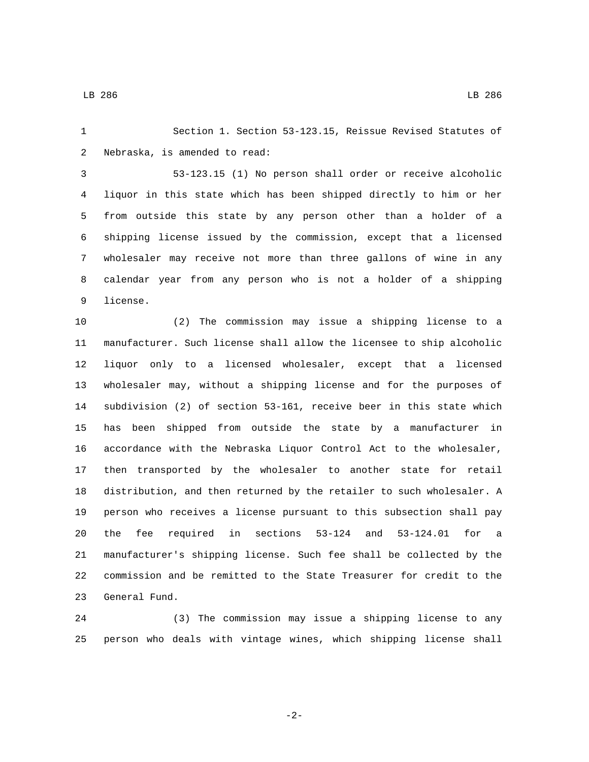Section 1. Section 53-123.15, Reissue Revised Statutes of 2 Nebraska, is amended to read:

 53-123.15 (1) No person shall order or receive alcoholic liquor in this state which has been shipped directly to him or her from outside this state by any person other than a holder of a shipping license issued by the commission, except that a licensed wholesaler may receive not more than three gallons of wine in any calendar year from any person who is not a holder of a shipping 9 license.

 (2) The commission may issue a shipping license to a manufacturer. Such license shall allow the licensee to ship alcoholic liquor only to a licensed wholesaler, except that a licensed wholesaler may, without a shipping license and for the purposes of subdivision (2) of section 53-161, receive beer in this state which has been shipped from outside the state by a manufacturer in accordance with the Nebraska Liquor Control Act to the wholesaler, then transported by the wholesaler to another state for retail distribution, and then returned by the retailer to such wholesaler. A person who receives a license pursuant to this subsection shall pay the fee required in sections 53-124 and 53-124.01 for a manufacturer's shipping license. Such fee shall be collected by the commission and be remitted to the State Treasurer for credit to the 23 General Fund.

 (3) The commission may issue a shipping license to any person who deals with vintage wines, which shipping license shall

-2-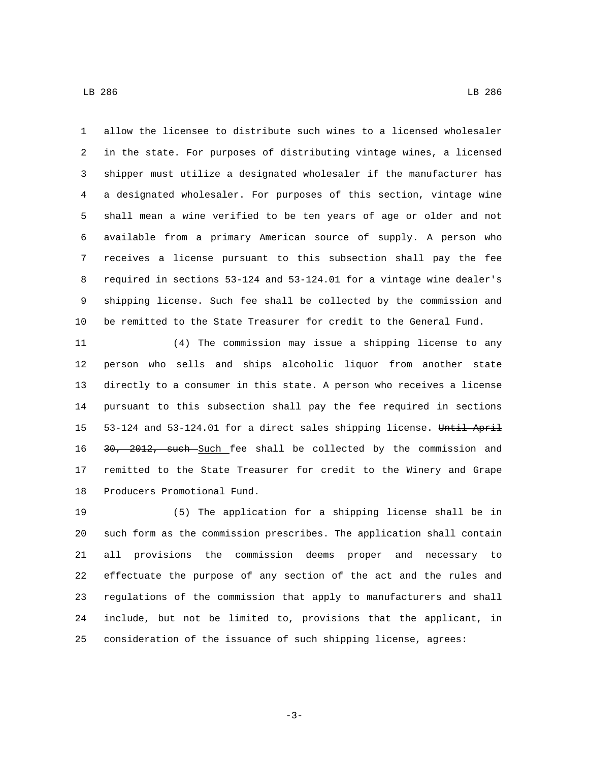allow the licensee to distribute such wines to a licensed wholesaler in the state. For purposes of distributing vintage wines, a licensed shipper must utilize a designated wholesaler if the manufacturer has a designated wholesaler. For purposes of this section, vintage wine shall mean a wine verified to be ten years of age or older and not available from a primary American source of supply. A person who receives a license pursuant to this subsection shall pay the fee required in sections 53-124 and 53-124.01 for a vintage wine dealer's shipping license. Such fee shall be collected by the commission and be remitted to the State Treasurer for credit to the General Fund.

 (4) The commission may issue a shipping license to any person who sells and ships alcoholic liquor from another state directly to a consumer in this state. A person who receives a license pursuant to this subsection shall pay the fee required in sections 53-124 and 53-124.01 for a direct sales shipping license. Until April 16 30, 2012, such Such fee shall be collected by the commission and remitted to the State Treasurer for credit to the Winery and Grape 18 Producers Promotional Fund.

 (5) The application for a shipping license shall be in such form as the commission prescribes. The application shall contain all provisions the commission deems proper and necessary to effectuate the purpose of any section of the act and the rules and regulations of the commission that apply to manufacturers and shall include, but not be limited to, provisions that the applicant, in consideration of the issuance of such shipping license, agrees:

-3-